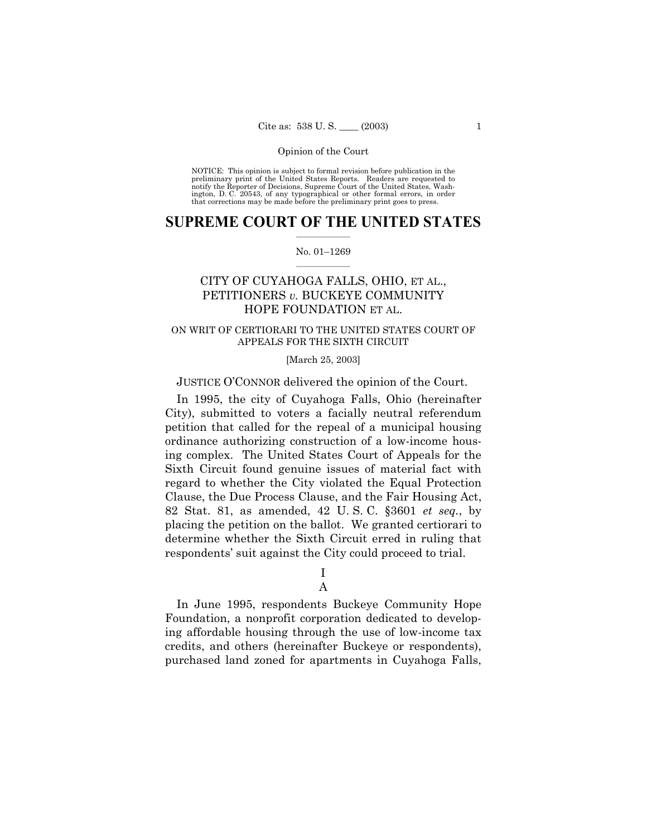NOTICE: This opinion is subject to formal revision before publication in the<br>preliminary print of the United States Reports. Readers are requested to<br>notify the Reporter of Decisions, Supreme Court of the United States, Wa ington, D. C. 20543, of any typographical or other formal errors, in order that corrections may be made before the preliminary print goes to press.

#### **SUPREME COURT OF THE UNITED STATES**  $\mathcal{L}=\mathcal{L}^{\mathcal{L}}$

#### No. 01-1269  $\mathcal{L}=\mathcal{L}^{\mathcal{L}}$

# CITY OF CUYAHOGA FALLS, OHIO, ET AL., PETITIONERS *v.* BUCKEYE COMMUNITY HOPE FOUNDATION ET AL.

### ON WRIT OF CERTIORARI TO THE UNITED STATES COURT OF APPEALS FOR THE SIXTH CIRCUIT

### [March 25, 2003]

JUSTICE O'CONNOR delivered the opinion of the Court.

In 1995, the city of Cuyahoga Falls, Ohio (hereinafter City), submitted to voters a facially neutral referendum petition that called for the repeal of a municipal housing ordinance authorizing construction of a low-income housing complex. The United States Court of Appeals for the Sixth Circuit found genuine issues of material fact with regard to whether the City violated the Equal Protection Clause, the Due Process Clause, and the Fair Housing Act, 82 Stat. 81, as amended, 42 U. S. C. ß3601 *et seq.*, by placing the petition on the ballot. We granted certiorari to determine whether the Sixth Circuit erred in ruling that respondents' suit against the City could proceed to trial.

### I A

In June 1995, respondents Buckeye Community Hope Foundation, a nonprofit corporation dedicated to developing affordable housing through the use of low-income tax credits, and others (hereinafter Buckeye or respondents), purchased land zoned for apartments in Cuyahoga Falls,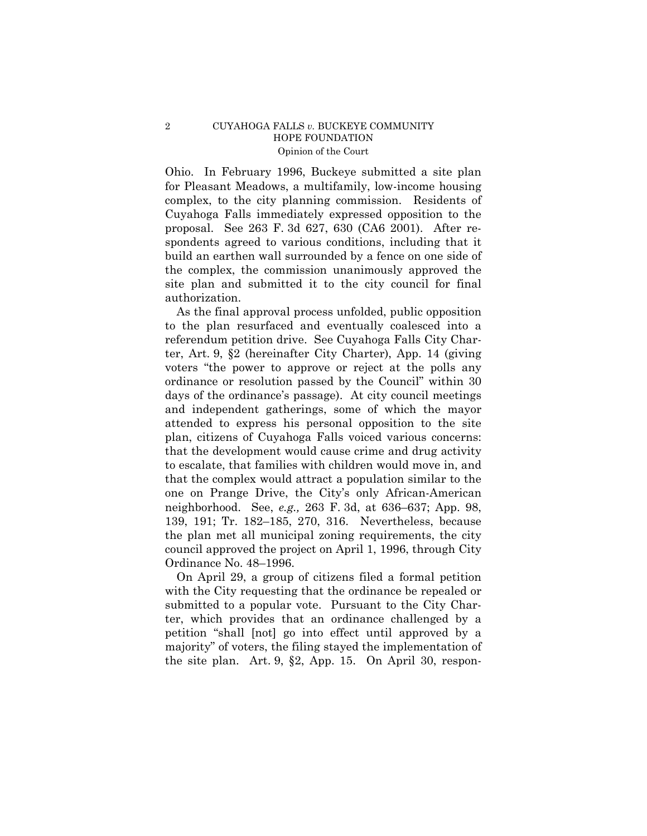Ohio. In February 1996, Buckeye submitted a site plan for Pleasant Meadows, a multifamily, low-income housing complex, to the city planning commission. Residents of Cuyahoga Falls immediately expressed opposition to the proposal. See 263 F. 3d 627, 630 (CA6 2001). After respondents agreed to various conditions, including that it build an earthen wall surrounded by a fence on one side of the complex, the commission unanimously approved the site plan and submitted it to the city council for final authorization.

As the final approval process unfolded, public opposition to the plan resurfaced and eventually coalesced into a referendum petition drive. See Cuyahoga Falls City Charter, Art. 9, ß2 (hereinafter City Charter), App. 14 (giving voters "the power to approve or reject at the polls any ordinance or resolution passed by the Council" within 30 days of the ordinance's passage). At city council meetings and independent gatherings, some of which the mayor attended to express his personal opposition to the site plan, citizens of Cuyahoga Falls voiced various concerns: that the development would cause crime and drug activity to escalate, that families with children would move in, and that the complex would attract a population similar to the one on Prange Drive, the Cityís only African-American neighborhood. See, *e.g.*, 263 F. 3d, at 636–637; App. 98, 139, 191; Tr. 182–185, 270, 316. Nevertheless, because the plan met all municipal zoning requirements, the city council approved the project on April 1, 1996, through City Ordinance No. 48-1996.

On April 29, a group of citizens filed a formal petition with the City requesting that the ordinance be repealed or submitted to a popular vote. Pursuant to the City Charter, which provides that an ordinance challenged by a petition "shall [not] go into effect until approved by a majority" of voters, the filing stayed the implementation of the site plan. Art. 9, ß2, App. 15. On April 30, respon-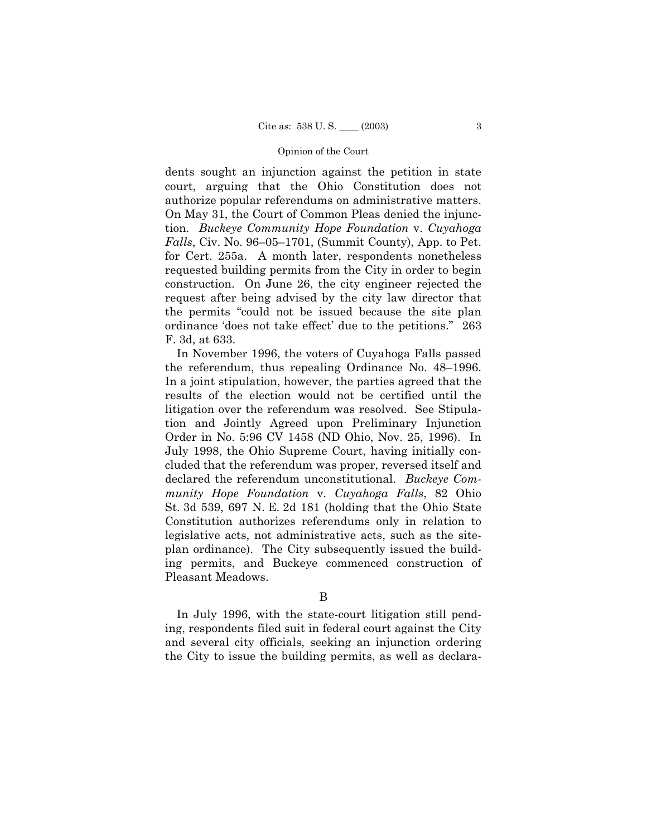dents sought an injunction against the petition in state court, arguing that the Ohio Constitution does not authorize popular referendums on administrative matters. On May 31, the Court of Common Pleas denied the injunction. *Buckeye Community Hope Foundation* v. *Cuyahoga Falls*, Civ. No. 96–05–1701, (Summit County), App. to Pet. for Cert. 255a. A month later, respondents nonetheless requested building permits from the City in order to begin construction. On June 26, the city engineer rejected the request after being advised by the city law director that the permits "could not be issued because the site plan ordinance 'does not take effect' due to the petitions." 263 F. 3d, at 633.

In November 1996, the voters of Cuyahoga Falls passed the referendum, thus repealing Ordinance No.  $48-1996$ . In a joint stipulation, however, the parties agreed that the results of the election would not be certified until the litigation over the referendum was resolved. See Stipulation and Jointly Agreed upon Preliminary Injunction Order in No. 5:96 CV 1458 (ND Ohio, Nov. 25, 1996). In July 1998, the Ohio Supreme Court, having initially concluded that the referendum was proper, reversed itself and declared the referendum unconstitutional. *Buckeye Community Hope Foundation* v. *Cuyahoga Falls*, 82 Ohio St. 3d 539, 697 N. E. 2d 181 (holding that the Ohio State Constitution authorizes referendums only in relation to legislative acts, not administrative acts, such as the siteplan ordinance). The City subsequently issued the building permits, and Buckeye commenced construction of Pleasant Meadows.

In July 1996, with the state-court litigation still pending, respondents filed suit in federal court against the City and several city officials, seeking an injunction ordering the City to issue the building permits, as well as declara-

B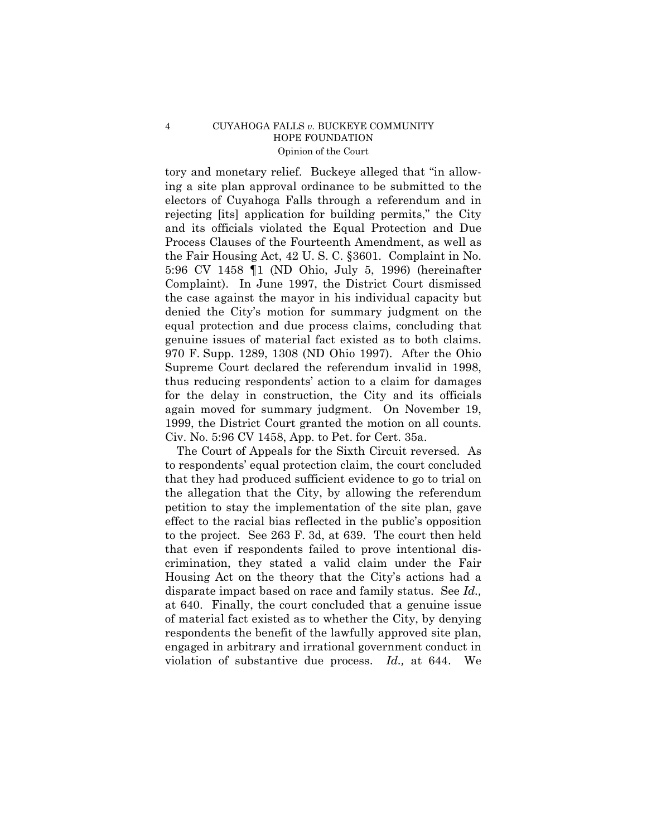tory and monetary relief. Buckeye alleged that "in allowing a site plan approval ordinance to be submitted to the electors of Cuyahoga Falls through a referendum and in rejecting [its] application for building permits," the City and its officials violated the Equal Protection and Due Process Clauses of the Fourteenth Amendment, as well as the Fair Housing Act, 42 U. S. C. ß3601. Complaint in No. 5:96 CV 1458 ¶1 (ND Ohio, July 5, 1996) (hereinafter Complaint). In June 1997, the District Court dismissed the case against the mayor in his individual capacity but denied the Cityís motion for summary judgment on the equal protection and due process claims, concluding that genuine issues of material fact existed as to both claims. 970 F. Supp. 1289, 1308 (ND Ohio 1997). After the Ohio Supreme Court declared the referendum invalid in 1998, thus reducing respondents' action to a claim for damages for the delay in construction, the City and its officials again moved for summary judgment. On November 19, 1999, the District Court granted the motion on all counts. Civ. No. 5:96 CV 1458, App. to Pet. for Cert. 35a.

The Court of Appeals for the Sixth Circuit reversed. As to respondentsí equal protection claim, the court concluded that they had produced sufficient evidence to go to trial on the allegation that the City, by allowing the referendum petition to stay the implementation of the site plan, gave effect to the racial bias reflected in the public's opposition to the project. See 263 F. 3d, at 639. The court then held that even if respondents failed to prove intentional discrimination, they stated a valid claim under the Fair Housing Act on the theory that the Cityís actions had a disparate impact based on race and family status. See *Id.,* at 640. Finally, the court concluded that a genuine issue of material fact existed as to whether the City, by denying respondents the benefit of the lawfully approved site plan, engaged in arbitrary and irrational government conduct in violation of substantive due process. *Id.,* at 644. We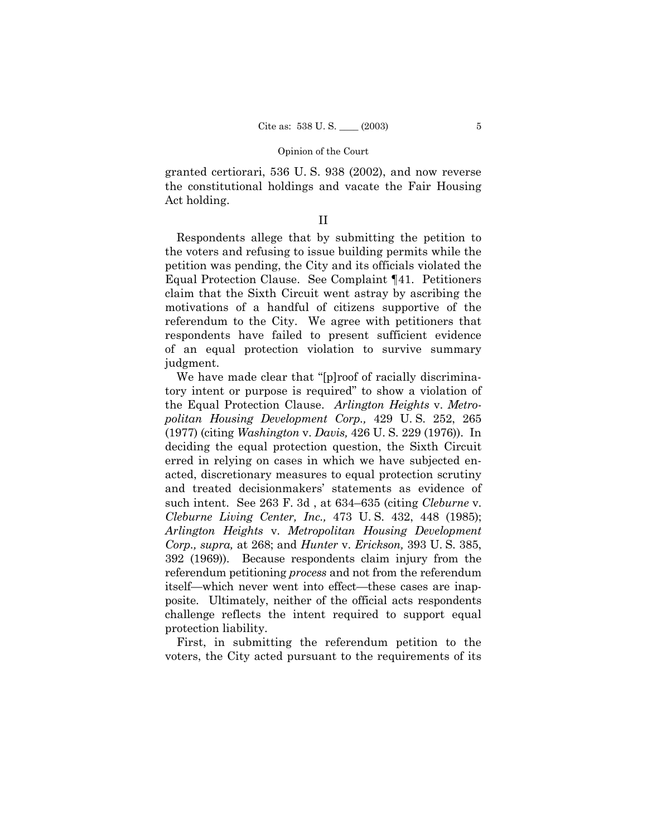granted certiorari, 536 U. S. 938 (2002), and now reverse the constitutional holdings and vacate the Fair Housing Act holding.

### II

Respondents allege that by submitting the petition to the voters and refusing to issue building permits while the petition was pending, the City and its officials violated the Equal Protection Clause. See Complaint ¶41. Petitioners claim that the Sixth Circuit went astray by ascribing the motivations of a handful of citizens supportive of the referendum to the City. We agree with petitioners that respondents have failed to present sufficient evidence of an equal protection violation to survive summary judgment.

We have made clear that "[p]roof of racially discriminatory intent or purpose is required" to show a violation of the Equal Protection Clause. *Arlington Heights* v. *Metropolitan Housing Development Corp.,* 429 U. S. 252, 265 (1977) (citing *Washington* v. *Davis,* 426 U. S. 229 (1976)). In deciding the equal protection question, the Sixth Circuit erred in relying on cases in which we have subjected enacted, discretionary measures to equal protection scrutiny and treated decisionmakers' statements as evidence of such intent. See 263 F. 3d, at 634–635 (citing *Cleburne* v. *Cleburne Living Center, Inc.,* 473 U. S. 432, 448 (1985); *Arlington Heights* v. *Metropolitan Housing Development Corp., supra,* at 268; and *Hunter* v. *Erickson,* 393 U. S. 385, 392 (1969)). Because respondents claim injury from the referendum petitioning *process* and not from the referendum itself—which never went into effect—these cases are inapposite. Ultimately, neither of the official acts respondents challenge reflects the intent required to support equal protection liability.

First, in submitting the referendum petition to the voters, the City acted pursuant to the requirements of its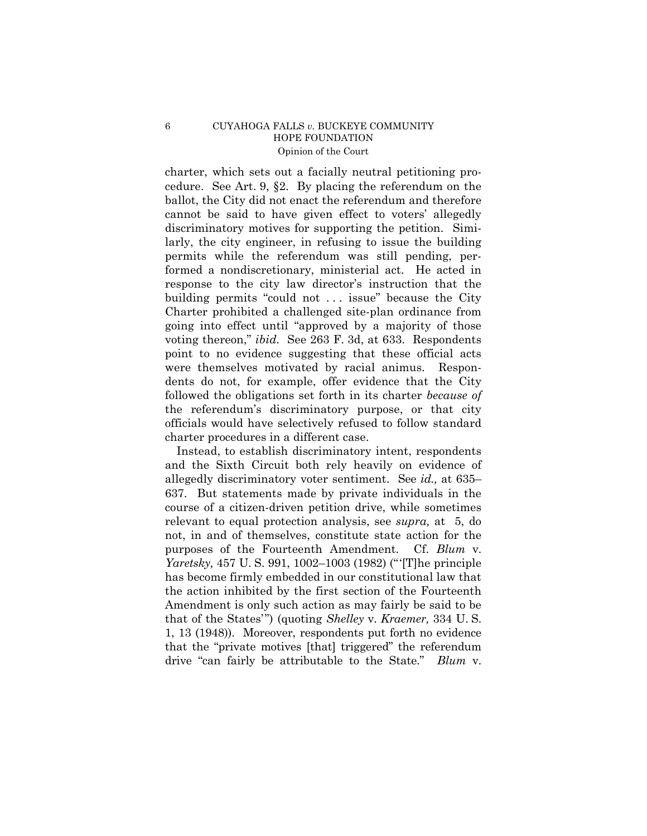charter, which sets out a facially neutral petitioning procedure. See Art. 9, ß2. By placing the referendum on the ballot, the City did not enact the referendum and therefore cannot be said to have given effect to voters' allegedly discriminatory motives for supporting the petition. Similarly, the city engineer, in refusing to issue the building permits while the referendum was still pending, performed a nondiscretionary, ministerial act. He acted in response to the city law director's instruction that the building permits "could not  $\dots$  issue" because the City Charter prohibited a challenged site-plan ordinance from going into effect until "approved by a majority of those voting thereon," *ibid.* See 263 F. 3d, at 633. Respondents point to no evidence suggesting that these official acts were themselves motivated by racial animus. Respondents do not, for example, offer evidence that the City followed the obligations set forth in its charter *because of* the referendumís discriminatory purpose, or that city officials would have selectively refused to follow standard charter procedures in a different case.

Instead, to establish discriminatory intent, respondents and the Sixth Circuit both rely heavily on evidence of allegedly discriminatory voter sentiment. See  $id$ , at  $635-$ 637. But statements made by private individuals in the course of a citizen-driven petition drive, while sometimes relevant to equal protection analysis, see *supra,* at 5, do not, in and of themselves, constitute state action for the purposes of the Fourteenth Amendment. Cf. *Blum* v. *Yaretsky*, 457 U.S. 991, 1002–1003 (1982) ("The principle has become firmly embedded in our constitutional law that the action inhibited by the first section of the Fourteenth Amendment is only such action as may fairly be said to be that of the States<sup>*n*</sup>) (quoting *Shelley* v. *Kraemer*, 334 U.S. 1, 13 (1948)). Moreover, respondents put forth no evidence that the "private motives [that] triggered" the referendum drive "can fairly be attributable to the State." *Blum* v.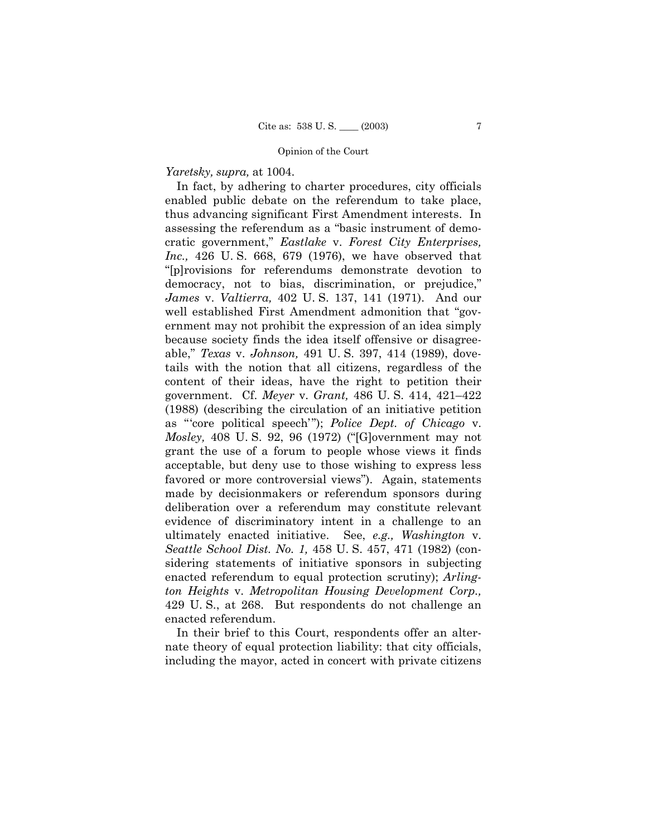*Yaretsky, supra,* at 1004.

In fact, by adhering to charter procedures, city officials enabled public debate on the referendum to take place, thus advancing significant First Amendment interests. In assessing the referendum as a "basic instrument of democratic government,î *Eastlake* v. *Forest City Enterprises, Inc.,* 426 U. S. 668, 679 (1976), we have observed that ì[p]rovisions for referendums demonstrate devotion to democracy, not to bias, discrimination, or prejudice," *James* v. *Valtierra,* 402 U. S. 137, 141 (1971). And our well established First Amendment admonition that "government may not prohibit the expression of an idea simply because society finds the idea itself offensive or disagreeable,î *Texas* v. *Johnson,* 491 U. S. 397, 414 (1989), dovetails with the notion that all citizens, regardless of the content of their ideas, have the right to petition their government. Cf. *Meyer* v. *Grant*, 486 U.S. 414, 421–422 (1988) (describing the circulation of an initiative petition as "core political speech"); *Police Dept. of Chicago* v. *Mosley,* 408 U.S. 92, 96 (1972) ("[G]overnment may not grant the use of a forum to people whose views it finds acceptable, but deny use to those wishing to express less favored or more controversial views"). Again, statements made by decisionmakers or referendum sponsors during deliberation over a referendum may constitute relevant evidence of discriminatory intent in a challenge to an ultimately enacted initiative. See, *e.g., Washington* v. *Seattle School Dist. No. 1,* 458 U. S. 457, 471 (1982) (considering statements of initiative sponsors in subjecting enacted referendum to equal protection scrutiny); *Arlington Heights* v. *Metropolitan Housing Development Corp.,* 429 U. S., at 268. But respondents do not challenge an enacted referendum.

In their brief to this Court, respondents offer an alternate theory of equal protection liability: that city officials, including the mayor, acted in concert with private citizens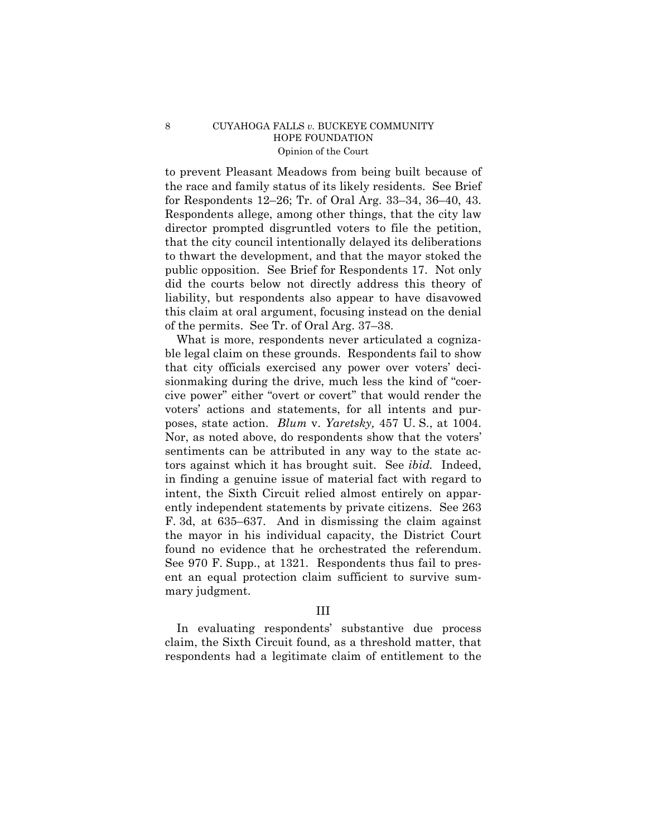to prevent Pleasant Meadows from being built because of the race and family status of its likely residents. See Brief for Respondents 12–26; Tr. of Oral Arg. 33–34, 36–40, 43. Respondents allege, among other things, that the city law director prompted disgruntled voters to file the petition, that the city council intentionally delayed its deliberations to thwart the development, and that the mayor stoked the public opposition. See Brief for Respondents 17. Not only did the courts below not directly address this theory of liability, but respondents also appear to have disavowed this claim at oral argument, focusing instead on the denial of the permits. See Tr. of Oral Arg.  $37-38$ .

What is more, respondents never articulated a cognizable legal claim on these grounds. Respondents fail to show that city officials exercised any power over voters' decisionmaking during the drive, much less the kind of "coercive power" either "overt or covert" that would render the voters' actions and statements, for all intents and purposes, state action. *Blum* v. *Yaretsky,* 457 U. S., at 1004. Nor, as noted above, do respondents show that the voters' sentiments can be attributed in any way to the state actors against which it has brought suit. See *ibid.* Indeed, in finding a genuine issue of material fact with regard to intent, the Sixth Circuit relied almost entirely on apparently independent statements by private citizens. See 263 F. 3d, at  $635-637$ . And in dismissing the claim against the mayor in his individual capacity, the District Court found no evidence that he orchestrated the referendum. See 970 F. Supp., at 1321. Respondents thus fail to present an equal protection claim sufficient to survive summary judgment.

## III

In evaluating respondents' substantive due process claim, the Sixth Circuit found, as a threshold matter, that respondents had a legitimate claim of entitlement to the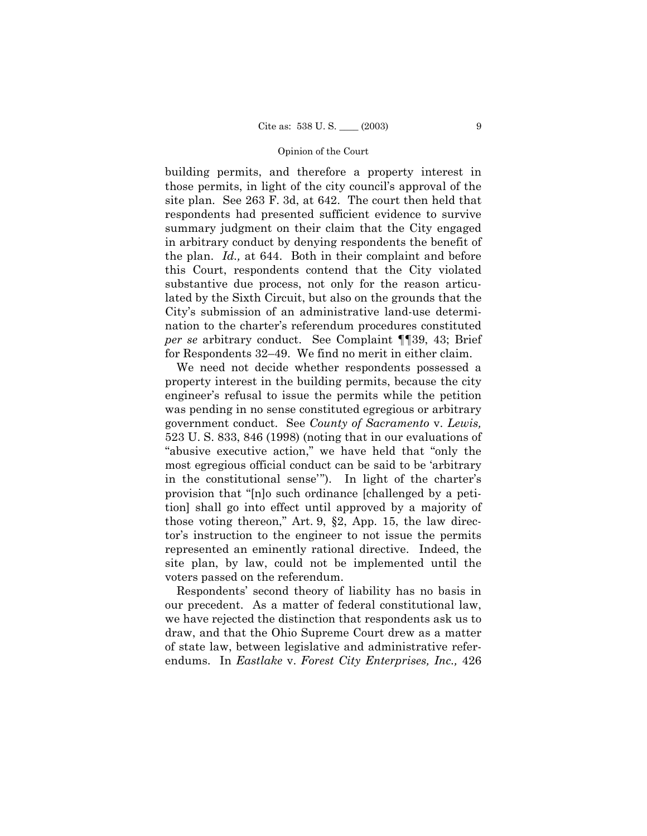building permits, and therefore a property interest in those permits, in light of the city council's approval of the site plan. See 263 F. 3d, at 642. The court then held that respondents had presented sufficient evidence to survive summary judgment on their claim that the City engaged in arbitrary conduct by denying respondents the benefit of the plan. *Id.,* at 644. Both in their complaint and before this Court, respondents contend that the City violated substantive due process, not only for the reason articulated by the Sixth Circuit, but also on the grounds that the Cityís submission of an administrative land-use determination to the charter's referendum procedures constituted *per se* arbitrary conduct. See Complaint ¶¶39, 43; Brief for Respondents  $32-49$ . We find no merit in either claim.

We need not decide whether respondents possessed a property interest in the building permits, because the city engineer's refusal to issue the permits while the petition was pending in no sense constituted egregious or arbitrary government conduct. See *County of Sacramento* v. *Lewis,* 523 U. S. 833, 846 (1998) (noting that in our evaluations of "abusive executive action," we have held that "only the most egregious official conduct can be said to be ëarbitrary in the constitutional sense<sup>"</sup>). In light of the charter's provision that "[n]o such ordinance [challenged by a petition] shall go into effect until approved by a majority of those voting thereon," Art. 9,  $\S2$ , App. 15, the law director's instruction to the engineer to not issue the permits represented an eminently rational directive. Indeed, the site plan, by law, could not be implemented until the voters passed on the referendum.

Respondentsí second theory of liability has no basis in our precedent. As a matter of federal constitutional law, we have rejected the distinction that respondents ask us to draw, and that the Ohio Supreme Court drew as a matter of state law, between legislative and administrative referendums. In *Eastlake* v. *Forest City Enterprises, Inc.,* 426